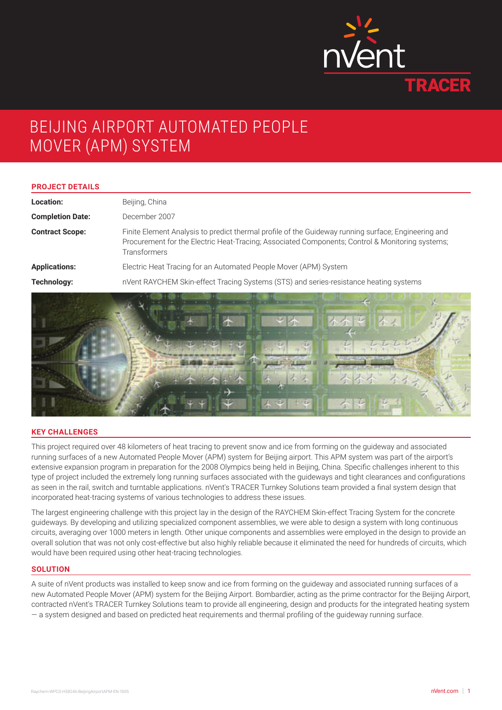

# BEIJING AIRPORT AUTOMATED PEOPLE MOVER (APM) SYSTEM

#### **PROJECT DETAILS**

| Location:               | Beijing, China                                                                                                                                                                                                                |
|-------------------------|-------------------------------------------------------------------------------------------------------------------------------------------------------------------------------------------------------------------------------|
| <b>Completion Date:</b> | December 2007                                                                                                                                                                                                                 |
| <b>Contract Scope:</b>  | Finite Element Analysis to predict thermal profile of the Guideway running surface; Engineering and<br>Procurement for the Electric Heat-Tracing; Associated Components; Control & Monitoring systems;<br><b>Transformers</b> |
| <b>Applications:</b>    | Electric Heat Tracing for an Automated People Mover (APM) System                                                                                                                                                              |
| Technology:             | nVent RAYCHEM Skin-effect Tracing Systems (STS) and series-resistance heating systems                                                                                                                                         |
|                         |                                                                                                                                                                                                                               |



### **KEY CHALLENGES**

This project required over 48 kilometers of heat tracing to prevent snow and ice from forming on the guideway and associated running surfaces of a new Automated People Mover (APM) system for Beijing airport. This APM system was part of the airport's extensive expansion program in preparation for the 2008 Olympics being held in Beijing, China. Specific challenges inherent to this type of project included the extremely long running surfaces associated with the guideways and tight clearances and configurations as seen in the rail, switch and turntable applications. nVent's TRACER Turnkey Solutions team provided a final system design that incorporated heat-tracing systems of various technologies to address these issues.

The largest engineering challenge with this project lay in the design of the RAYCHEM Skin-effect Tracing System for the concrete guideways. By developing and utilizing specialized component assemblies, we were able to design a system with long continuous circuits, averaging over 1000 meters in length. Other unique components and assemblies were employed in the design to provide an overall solution that was not only cost-effective but also highly reliable because it eliminated the need for hundreds of circuits, which would have been required using other heat-tracing technologies.

#### **SOLUTION**

A suite of nVent products was installed to keep snow and ice from forming on the guideway and associated running surfaces of a new Automated People Mover (APM) system for the Beijing Airport. Bombardier, acting as the prime contractor for the Beijing Airport, contracted nVent's TRACER Turnkey Solutions team to provide all engineering, design and products for the integrated heating system — a system designed and based on predicted heat requirements and thermal profiling of the guideway running surface.